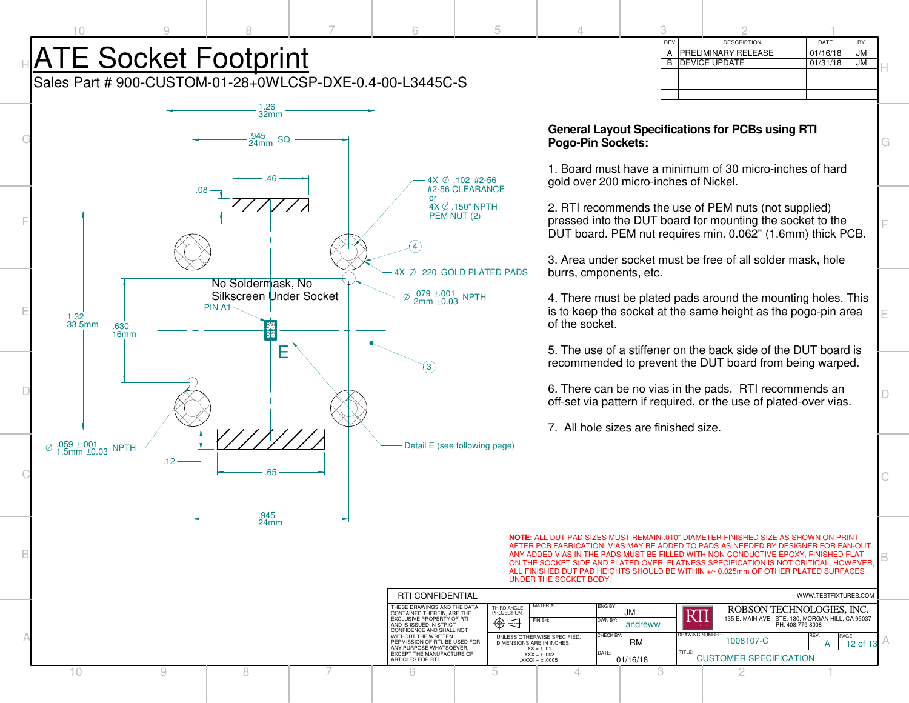